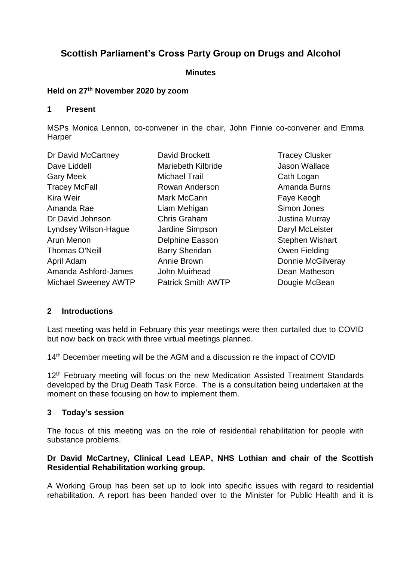# **Scottish Parliament's Cross Party Group on Drugs and Alcohol**

#### **Minutes**

#### **Held on 27th November 2020 by zoom**

### **1 Present**

MSPs Monica Lennon, co-convener in the chair, John Finnie co-convener and Emma Harper

| Dr David McCartney          | David Brockett            | <b>Tracey Clusker</b>  |
|-----------------------------|---------------------------|------------------------|
| Dave Liddell                | Mariebeth Kilbride        | Jason Wallace          |
| <b>Gary Meek</b>            | <b>Michael Trail</b>      | Cath Logan             |
| <b>Tracey McFall</b>        | Rowan Anderson            | Amanda Burns           |
| Kira Weir                   | Mark McCann               | Faye Keogh             |
| Amanda Rae                  | Liam Mehigan              | Simon Jones            |
| Dr David Johnson            | Chris Graham              | <b>Justina Murray</b>  |
| Lyndsey Wilson-Hague        | Jardine Simpson           | Daryl McLeister        |
| Arun Menon                  | Delphine Easson           | <b>Stephen Wishart</b> |
| Thomas O'Neill              | <b>Barry Sheridan</b>     | Owen Fielding          |
| April Adam                  | Annie Brown               | Donnie McGilveray      |
| Amanda Ashford-James        | John Muirhead             | Dean Matheson          |
| <b>Michael Sweeney AWTP</b> | <b>Patrick Smith AWTP</b> | Dougie McBean          |
|                             |                           |                        |

# **2 Introductions**

Last meeting was held in February this year meetings were then curtailed due to COVID but now back on track with three virtual meetings planned.

14<sup>th</sup> December meeting will be the AGM and a discussion re the impact of COVID

12<sup>th</sup> February meeting will focus on the new Medication Assisted Treatment Standards developed by the Drug Death Task Force. The is a consultation being undertaken at the moment on these focusing on how to implement them.

# **3 Today's session**

The focus of this meeting was on the role of residential rehabilitation for people with substance problems.

### **Dr David McCartney, Clinical Lead LEAP, NHS Lothian and chair of the Scottish Residential Rehabilitation working group.**

A Working Group has been set up to look into specific issues with regard to residential rehabilitation. A report has been handed over to the Minister for Public Health and it is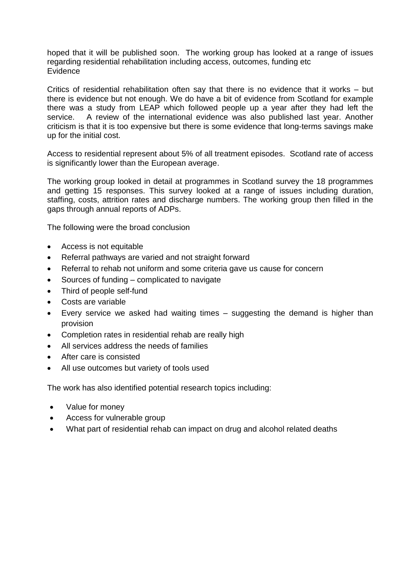hoped that it will be published soon. The working group has looked at a range of issues regarding residential rehabilitation including access, outcomes, funding etc **Evidence** 

Critics of residential rehabilitation often say that there is no evidence that it works – but there is evidence but not enough. We do have a bit of evidence from Scotland for example there was a study from LEAP which followed people up a year after they had left the service. A review of the international evidence was also published last year. Another criticism is that it is too expensive but there is some evidence that long-terms savings make up for the initial cost.

Access to residential represent about 5% of all treatment episodes. Scotland rate of access is significantly lower than the European average.

The working group looked in detail at programmes in Scotland survey the 18 programmes and getting 15 responses. This survey looked at a range of issues including duration, staffing, costs, attrition rates and discharge numbers. The working group then filled in the gaps through annual reports of ADPs.

The following were the broad conclusion

- Access is not equitable
- Referral pathways are varied and not straight forward
- Referral to rehab not uniform and some criteria gave us cause for concern
- Sources of funding complicated to navigate
- Third of people self-fund
- Costs are variable
- Every service we asked had waiting times suggesting the demand is higher than provision
- Completion rates in residential rehab are really high
- All services address the needs of families
- After care is consisted
- All use outcomes but variety of tools used

The work has also identified potential research topics including:

- Value for money
- Access for vulnerable group
- What part of residential rehab can impact on drug and alcohol related deaths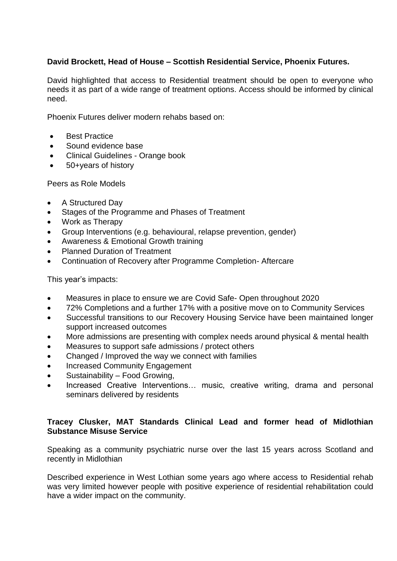# **David Brockett, Head of House – Scottish Residential Service, Phoenix Futures.**

David highlighted that access to Residential treatment should be open to everyone who needs it as part of a wide range of treatment options. Access should be informed by clinical need.

Phoenix Futures deliver modern rehabs based on:

- **Best Practice**
- Sound evidence base
- Clinical Guidelines Orange book
- 50+years of history

Peers as Role Models

- A Structured Day
- Stages of the Programme and Phases of Treatment
- Work as Therapy
- Group Interventions (e.g. behavioural, relapse prevention, gender)
- Awareness & Emotional Growth training
- Planned Duration of Treatment
- Continuation of Recovery after Programme Completion- Aftercare

This year's impacts:

- Measures in place to ensure we are Covid Safe-Open throughout 2020
- 72% Completions and a further 17% with a positive move on to Community Services
- Successful transitions to our Recovery Housing Service have been maintained longer support increased outcomes
- More admissions are presenting with complex needs around physical & mental health
- Measures to support safe admissions / protect others
- Changed / Improved the way we connect with families
- Increased Community Engagement
- Sustainability Food Growing,
- Increased Creative Interventions… music, creative writing, drama and personal seminars delivered by residents

### **Tracey Clusker, MAT Standards Clinical Lead and former head of Midlothian Substance Misuse Service**

Speaking as a community psychiatric nurse over the last 15 years across Scotland and recently in Midlothian

Described experience in West Lothian some years ago where access to Residential rehab was very limited however people with positive experience of residential rehabilitation could have a wider impact on the community.